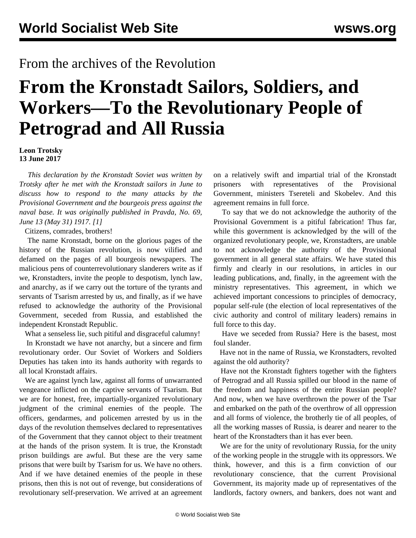## From the archives of the Revolution

## **From the Kronstadt Sailors, Soldiers, and Workers—To the Revolutionary People of Petrograd and All Russia**

**Leon Trotsky 13 June 2017**

 *This declaration by the Kronstadt Soviet was written by Trotsky after he met with the Kronstadt sailors in June to discuss how to respond to the many attacks by the Provisional Government and the bourgeois press against the naval base. It was originally published in Pravda, No. 69, June 13 (May 31) 1917. [1]*

Citizens, comrades, brothers!

 The name Kronstadt, borne on the glorious pages of the history of the Russian revolution, is now vilified and defamed on the pages of all bourgeois newspapers. The malicious pens of counterrevolutionary slanderers write as if we, Kronstadters, invite the people to despotism, lynch law, and anarchy, as if we carry out the torture of the tyrants and servants of Tsarism arrested by us, and finally, as if we have refused to acknowledge the authority of the Provisional Government, seceded from Russia, and established the independent Kronstadt Republic.

What a senseless lie, such pitiful and disgraceful calumny!

 In Kronstadt we have not anarchy, but a sincere and firm revolutionary order. Our Soviet of Workers and Soldiers Deputies has taken into its hands authority with regards to all local Kronstadt affairs.

 We are against lynch law, against all forms of unwarranted vengeance inflicted on the captive servants of Tsarism. But we are for honest, free, impartially-organized revolutionary judgment of the criminal enemies of the people. The officers, gendarmes, and policemen arrested by us in the days of the revolution themselves declared to representatives of the Government that they cannot object to their treatment at the hands of the prison system. It is true, the Kronstadt prison buildings are awful. But these are the very same prisons that were built by Tsarism for us. We have no others. And if we have detained enemies of the people in these prisons, then this is not out of revenge, but considerations of revolutionary self-preservation. We arrived at an agreement

on a relatively swift and impartial trial of the Kronstadt prisoners with representatives of the Provisional Government, ministers Tsereteli and Skobelev. And this agreement remains in full force.

 To say that we do not acknowledge the authority of the Provisional Government is a pitiful fabrication! Thus far, while this government is acknowledged by the will of the organized revolutionary people, we, Kronstadters, are unable to not acknowledge the authority of the Provisional government in all general state affairs. We have stated this firmly and clearly in our resolutions, in articles in our leading publications, and, finally, in the agreement with the ministry representatives. This agreement, in which we achieved important concessions to principles of democracy, popular self-rule (the election of local representatives of the civic authority and control of military leaders) remains in full force to this day.

 Have we seceded from Russia? Here is the basest, most foul slander.

 Have not in the name of Russia, we Kronstadters, revolted against the old authority?

 Have not the Kronstadt fighters together with the fighters of Petrograd and all Russia spilled our blood in the name of the freedom and happiness of the entire Russian people? And now, when we have overthrown the power of the Tsar and embarked on the path of the overthrow of all oppression and all forms of violence, the brotherly tie of all peoples, of all the working masses of Russia, is dearer and nearer to the heart of the Kronstadters than it has ever been.

 We are for the unity of revolutionary Russia, for the unity of the working people in the struggle with its oppressors. We think, however, and this is a firm conviction of our revolutionary conscience, that the current Provisional Government, its majority made up of representatives of the landlords, factory owners, and bankers, does not want and